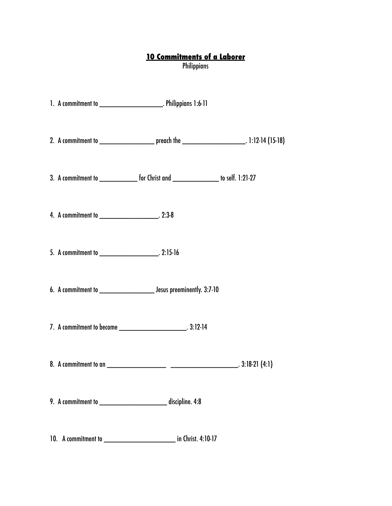## **10 Commitments of a Laborer**

Philippians

|                                                    | 1. A commitment to ___________________________. Philippians 1:6-11                   |                                                                                                          |
|----------------------------------------------------|--------------------------------------------------------------------------------------|----------------------------------------------------------------------------------------------------------|
|                                                    |                                                                                      | 2. A commitment to _________________________ preach the _______________________________. 1:12-14 (15-18) |
|                                                    | 3. A commitment to _______________ for Christ and _________________ to self. 1:21-27 |                                                                                                          |
| 4. A commitment to ________________________. 2:3-8 |                                                                                      |                                                                                                          |
|                                                    |                                                                                      |                                                                                                          |
|                                                    |                                                                                      |                                                                                                          |
|                                                    |                                                                                      |                                                                                                          |
|                                                    |                                                                                      |                                                                                                          |
|                                                    | 9. A commitment to _____________________________ discipline. 4:8                     |                                                                                                          |
|                                                    | in Christ. 4:10-17                                                                   |                                                                                                          |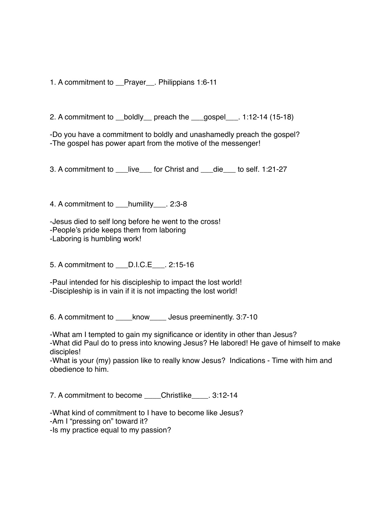1. A commitment to \_\_Prayer\_\_. Philippians 1:6-11

2. A commitment to \_\_boldly\_\_ preach the \_\_\_gospel\_\_\_. 1:12-14 (15-18)

-Do you have a commitment to boldly and unashamedly preach the gospel? -The gospel has power apart from the motive of the messenger!

3. A commitment to \_\_\_live\_\_\_ for Christ and \_\_\_die\_\_\_ to self. 1:21-27

4. A commitment to humility . 2:3-8

-Jesus died to self long before he went to the cross! -People's pride keeps them from laboring -Laboring is humbling work!

5. A commitment to \_\_\_D.I.C.E\_\_\_. 2:15-16

-Paul intended for his discipleship to impact the lost world! -Discipleship is in vain if it is not impacting the lost world!

6. A commitment to  $\blacksquare$  know Jesus preeminently. 3:7-10

-What am I tempted to gain my significance or identity in other than Jesus? -What did Paul do to press into knowing Jesus? He labored! He gave of himself to make disciples!

-What is your (my) passion like to really know Jesus? Indications - Time with him and obedience to him.

7. A commitment to become Christlike 3:12-14

-What kind of commitment to I have to become like Jesus? -Am I "pressing on" toward it? -Is my practice equal to my passion?